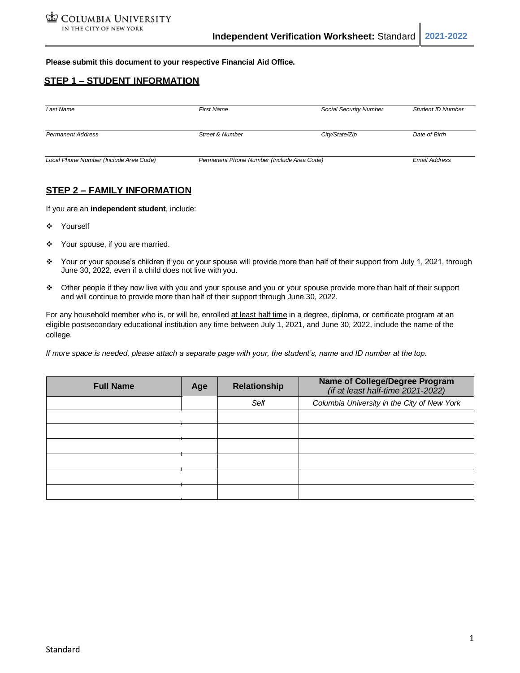**Please submit this document to your respective Financial Aid Office.**

## **STEP 1 – STUDENT INFORMATION**

| Last Name                              | <b>First Name</b>                          | Social Security Number | Student ID Number    |
|----------------------------------------|--------------------------------------------|------------------------|----------------------|
| <b>Permanent Address</b>               | Street & Number                            | City/State/Zip         | Date of Birth        |
| Local Phone Number (Include Area Code) | Permanent Phone Number (Include Area Code) |                        | <b>Email Address</b> |

# **STEP 2 – FAMILY INFORMATION**

If you are an **independent student**, include:

- ❖ Yourself
- ❖ Your spouse, if you are married.
- ❖ Your or your spouse's children if you or your spouse will provide more than half of their support from July 1, 2021, through June 30, 2022, even if a child does not live with you.
- ❖ Other people if they now live with you and your spouse and you or your spouse provide more than half of their support and will continue to provide more than half of their support through June 30, 2022.

For any household member who is, or will be, enrolled at least half time in a degree, diploma, or certificate program at an eligible postsecondary educational institution any time between July 1, 2021, and June 30, 2022, include the name of the college.

*If more space is needed, please attach a separate page with your, the student's, name and ID number at the top.*

| <b>Full Name</b> | Age | <b>Relationship</b> | <b>Name of College/Degree Program</b><br>(if at least half-time $2021 - 2022$ ) |  |
|------------------|-----|---------------------|---------------------------------------------------------------------------------|--|
|                  |     | Self                | Columbia University in the City of New York                                     |  |
|                  |     |                     |                                                                                 |  |
|                  |     |                     |                                                                                 |  |
|                  |     |                     |                                                                                 |  |
|                  |     |                     |                                                                                 |  |
|                  |     |                     |                                                                                 |  |
|                  |     |                     |                                                                                 |  |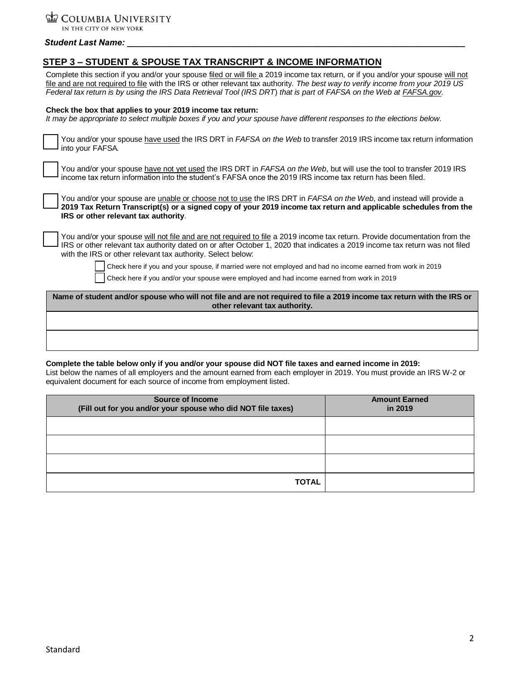COLUMBIA UNIVERSITY IN THE CITY OF NEW YORK

*Student Last Name: \_\_\_\_\_\_\_\_\_\_\_\_\_\_\_\_\_\_\_\_\_\_\_\_\_\_\_\_\_\_\_\_\_\_\_\_\_\_\_\_\_\_\_\_\_\_\_\_\_\_\_\_\_\_\_\_\_\_\_\_\_\_\_\_\_\_\_\_\_\_\_*

| STEP 3 – STUDENT & SPOUSE TAX TRANSCRIPT & INCOME INFORMATION                                                                                                                                                                                                                                                                                                                                |  |  |  |  |
|----------------------------------------------------------------------------------------------------------------------------------------------------------------------------------------------------------------------------------------------------------------------------------------------------------------------------------------------------------------------------------------------|--|--|--|--|
| Complete this section if you and/or your spouse filed or will file a 2019 income tax return, or if you and/or your spouse will not<br>file and are not required to file with the IRS or other relevant tax authority. The best way to verify income from your 2019 US<br>Federal tax return is by using the IRS Data Retrieval Tool (IRS DRT) that is part of FAFSA on the Web at FAFSA gov. |  |  |  |  |
| Check the box that applies to your 2019 income tax return:<br>It may be appropriate to select multiple boxes if you and your spouse have different responses to the elections below.                                                                                                                                                                                                         |  |  |  |  |
| You and/or your spouse have used the IRS DRT in <i>FAFSA on the Web</i> to transfer 2019 IRS income tax return information<br>into your FAFSA.                                                                                                                                                                                                                                               |  |  |  |  |
| You and/or your spouse have not yet used the IRS DRT in FAFSA on the Web, but will use the tool to transfer 2019 IRS<br>income tax return information into the student's FAFSA once the 2019 IRS income tax return has been filed.                                                                                                                                                           |  |  |  |  |
| You and/or your spouse are <i>unable or choose not to use the IRS DRT in FAFSA on the Web</i> , and instead will provide a<br>2019 Tax Return Transcript(s) or a signed copy of your 2019 income tax return and applicable schedules from the<br>IRS or other relevant tax authority.                                                                                                        |  |  |  |  |
| You and/or your spouse will not file and are not required to file a 2019 income tax return. Provide documentation from the<br>IRS or other relevant tax authority dated on or after October 1, 2020 that indicates a 2019 income tax return was not filed<br>with the IRS or other relevant tax authority. Select below:                                                                     |  |  |  |  |
| Check here if you and your spouse, if married were not employed and had no income earned from work in 2019                                                                                                                                                                                                                                                                                   |  |  |  |  |
| Check here if you and/or your spouse were employed and had income earned from work in 2019                                                                                                                                                                                                                                                                                                   |  |  |  |  |
| Name of student and/or spouse who will not file and are not required to file a 2019 income tax return with the IRS or<br>other relevant tax authority.                                                                                                                                                                                                                                       |  |  |  |  |
|                                                                                                                                                                                                                                                                                                                                                                                              |  |  |  |  |

### **Complete the table below only if you and/or your spouse did NOT file taxes and earned income in 2019:**

List below the names of all employers and the amount earned from each employer in 2019. You must provide an IRS W-2 or equivalent document for each source of income from employment listed.

| <b>Source of Income</b><br>(Fill out for you and/or your spouse who did NOT file taxes) | <b>Amount Earned</b><br>in 2019 |  |
|-----------------------------------------------------------------------------------------|---------------------------------|--|
|                                                                                         |                                 |  |
|                                                                                         |                                 |  |
|                                                                                         |                                 |  |
| <b>TOTAL</b>                                                                            |                                 |  |